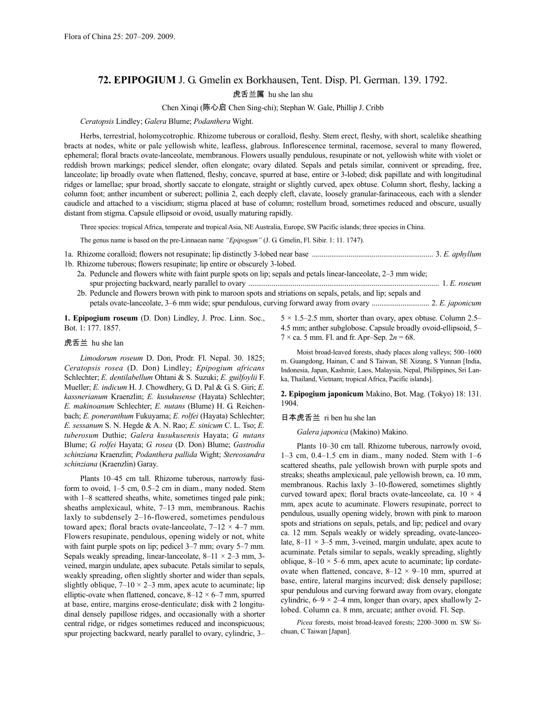# **72. EPIPOGIUM** J. G. Gmelin ex Borkhausen, Tent. Disp. Pl. German. 139. 1792. 虎舌兰属 hu she lan shu

#### Chen Xinqi (陈心启 Chen Sing-chi); Stephan W. Gale, Phillip J. Cribb

*Ceratopsis* Lindley; *Galera* Blume; *Podanthera* Wight.

Herbs, terrestrial, holomycotrophic. Rhizome tuberous or coralloid, fleshy. Stem erect, fleshy, with short, scalelike sheathing bracts at nodes, white or pale yellowish white, leafless, glabrous. Inflorescence terminal, racemose, several to many flowered, ephemeral; floral bracts ovate-lanceolate, membranous. Flowers usually pendulous, resupinate or not, yellowish white with violet or reddish brown markings; pedicel slender, often elongate; ovary dilated. Sepals and petals similar, connivent or spreading, free, lanceolate; lip broadly ovate when flattened, fleshy, concave, spurred at base, entire or 3-lobed; disk papillate and with longitudinal ridges or lamellae; spur broad, shortly saccate to elongate, straight or slightly curved, apex obtuse. Column short, fleshy, lacking a column foot; anther incumbent or suberect; pollinia 2, each deeply cleft, clavate, loosely granular-farinaceous, each with a slender caudicle and attached to a viscidium; stigma placed at base of column; rostellum broad, sometimes reduced and obscure, usually distant from stigma. Capsule ellipsoid or ovoid, usually maturing rapidly.

Three species: tropical Africa, temperate and tropical Asia, NE Australia, Europe, SW Pacific islands; three species in China.

The genus name is based on the pre-Linnaean name *"Epipogum"* (J. G. Gmelin, Fl. Sibir. 1: 11. 1747).

- 1a. Rhizome coralloid; flowers not resupinate; lip distinctly 3-lobed near base ............................................................... 3. *E. aphyllum* 1b. Rhizome tuberous; flowers resupinate; lip entire or obscurely 3-lobed.
	- 2a. Peduncle and flowers white with faint purple spots on lip; sepals and petals linear-lanceolate, 2–3 mm wide; spur projecting backward, nearly parallel to ovary ................................................................................................... 1. *E. roseum* 2b. Peduncle and flowers brown with pink to maroon spots and striations on sepals, petals, and lip; sepals and petals ovate-lanceolate, 3–6 mm wide; spur pendulous, curving forward away from ovary .............................. 2. *E. japonicum*

**1. Epipogium roseum** (D. Don) Lindley, J. Proc. Linn. Soc., Bot. 1: 177. 1857.

#### 虎舌兰 hu she lan

*Limodorum roseum* D. Don, Prodr. Fl. Nepal. 30. 1825; *Ceratopsis rosea* (D. Don) Lindley; *Epipogium africans* Schlechter; *E. dentilabellum* Ohtani & S. Suzuki; *E. guilfoylii* F. Mueller; *E. indicum* H. J. Chowdhery, G. D. Pal & G. S. Giri; *E. kassnerianum* Kraenzlin; *E. kusukusense* (Hayata) Schlechter; *E. makinoanum* Schlechter; *E. nutans* (Blume) H. G. Reichenbach; *E. poneranthum* Fukuyama; *E. rolfei* (Hayata) Schlechter; *E. sessanum* S. N. Hegde & A. N. Rao; *E. sinicum* C. L. Tso; *E. tuberosum* Duthie; *Galera kusukusensis* Hayata; *G. nutans* Blume; *G. rolfei* Hayata; *G. rosea* (D. Don) Blume; *Gastrodia schinziana* Kraenzlin; *Podanthera pallida* Wight; *Stereosandra schinziana* (Kraenzlin) Garay.

Plants 10–45 cm tall. Rhizome tuberous, narrowly fusiform to ovoid, 1–5 cm, 0.5–2 cm in diam., many noded. Stem with  $1-8$  scattered sheaths, white, sometimes tinged pale pink; sheaths amplexicaul, white, 7–13 mm, membranous. Rachis laxly to subdensely 2–16-flowered, sometimes pendulous toward apex; floral bracts ovate-lanceolate,  $7-12 \times 4-7$  mm. Flowers resupinate, pendulous, opening widely or not, white with faint purple spots on lip; pedicel 3–7 mm; ovary 5–7 mm. Sepals weakly spreading, linear-lanceolate,  $8-11 \times 2-3$  mm, 3veined, margin undulate, apex subacute. Petals similar to sepals, weakly spreading, often slightly shorter and wider than sepals, slightly oblique,  $7-10 \times 2-3$  mm, apex acute to acuminate; lip elliptic-ovate when flattened, concave,  $8-12 \times 6-7$  mm, spurred at base, entire, margins erose-denticulate; disk with 2 longitudinal densely papillose ridges, and occasionally with a shorter central ridge, or ridges sometimes reduced and inconspicuous; spur projecting backward, nearly parallel to ovary, cylindric, 3–

 $5 \times 1.5$ –2.5 mm, shorter than ovary, apex obtuse. Column 2.5– 4.5 mm; anther subglobose. Capsule broadly ovoid-ellipsoid, 5–  $7 \times$  ca. 5 mm. Fl. and fr. Apr–Sep.  $2n = 68$ .

Moist broad-leaved forests, shady places along valleys; 500–1600 m. Guangdong, Hainan, C and S Taiwan, SE Xizang, S Yunnan [India, Indonesia, Japan, Kashmir, Laos, Malaysia, Nepal, Philippines, Sri Lanka, Thailand, Vietnam; tropical Africa, Pacific islands].

**2. Epipogium japonicum** Makino, Bot. Mag. (Tokyo) 18: 131. 1904.

#### 日本虎舌兰 ri ben hu she lan

*Galera japonica* (Makino) Makino.

Plants 10–30 cm tall. Rhizome tuberous, narrowly ovoid, 1–3 cm, 0.4–1.5 cm in diam., many noded. Stem with 1–6 scattered sheaths, pale yellowish brown with purple spots and streaks; sheaths amplexicaul, pale yellowish brown, ca. 10 mm, membranous. Rachis laxly 3–10-flowered, sometimes slightly curved toward apex; floral bracts ovate-lanceolate, ca.  $10 \times 4$ mm, apex acute to acuminate. Flowers resupinate, porrect to pendulous, usually opening widely, brown with pink to maroon spots and striations on sepals, petals, and lip; pedicel and ovary ca. 12 mm. Sepals weakly or widely spreading, ovate-lanceolate,  $8-11 \times 3-5$  mm, 3-veined, margin undulate, apex acute to acuminate. Petals similar to sepals, weakly spreading, slightly oblique,  $8-10 \times 5-6$  mm, apex acute to acuminate; lip cordateovate when flattened, concave, 8–12 × 9–10 mm, spurred at base, entire, lateral margins incurved; disk densely papillose; spur pendulous and curving forward away from ovary, elongate cylindric,  $6-9 \times 2-4$  mm, longer than ovary, apex shallowly 2lobed. Column ca. 8 mm, arcuate; anther ovoid. Fl. Sep.

*Picea* forests, moist broad-leaved forests; 2200–3000 m. SW Sichuan, C Taiwan [Japan].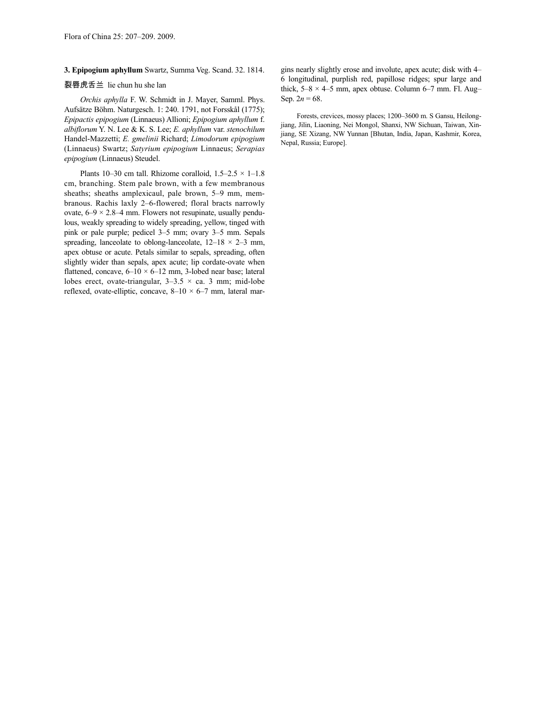## **3. Epipogium aphyllum** Swartz, Summa Veg. Scand. 32. 1814.

### 裂唇虎舌兰 lie chun hu she lan

*Orchis aphylla* F. W. Schmidt in J. Mayer, Samml. Phys. Aufsätze Böhm. Naturgesch. 1: 240. 1791, not Forsskål (1775); *Epipactis epipogium* (Linnaeus) Allioni; *Epipogium aphyllum* f. *albiflorum* Y. N. Lee & K. S. Lee; *E. aphyllum* var. *stenochilum* Handel-Mazzetti; *E. gmelinii* Richard; *Limodorum epipogium* (Linnaeus) Swartz; *Satyrium epipogium* Linnaeus; *Serapias epipogium* (Linnaeus) Steudel.

Plants 10–30 cm tall. Rhizome coralloid,  $1.5-2.5 \times 1-1.8$ cm, branching. Stem pale brown, with a few membranous sheaths; sheaths amplexicaul, pale brown, 5–9 mm, membranous. Rachis laxly 2–6-flowered; floral bracts narrowly ovate,  $6-9 \times 2.8-4$  mm. Flowers not resupinate, usually pendulous, weakly spreading to widely spreading, yellow, tinged with pink or pale purple; pedicel 3–5 mm; ovary 3–5 mm. Sepals spreading, lanceolate to oblong-lanceolate,  $12-18 \times 2-3$  mm, apex obtuse or acute. Petals similar to sepals, spreading, often slightly wider than sepals, apex acute; lip cordate-ovate when flattened, concave,  $6-10 \times 6-12$  mm, 3-lobed near base; lateral lobes erect, ovate-triangular,  $3-3.5 \times$  ca. 3 mm; mid-lobe reflexed, ovate-elliptic, concave,  $8-10 \times 6-7$  mm, lateral margins nearly slightly erose and involute, apex acute; disk with 4– 6 longitudinal, purplish red, papillose ridges; spur large and thick,  $5-8 \times 4-5$  mm, apex obtuse. Column 6-7 mm. Fl. Aug-Sep.  $2n = 68$ .

Forests, crevices, mossy places; 1200–3600 m. S Gansu, Heilongjiang, Jilin, Liaoning, Nei Mongol, Shanxi, NW Sichuan, Taiwan, Xinjiang, SE Xizang, NW Yunnan [Bhutan, India, Japan, Kashmir, Korea, Nepal, Russia; Europe].